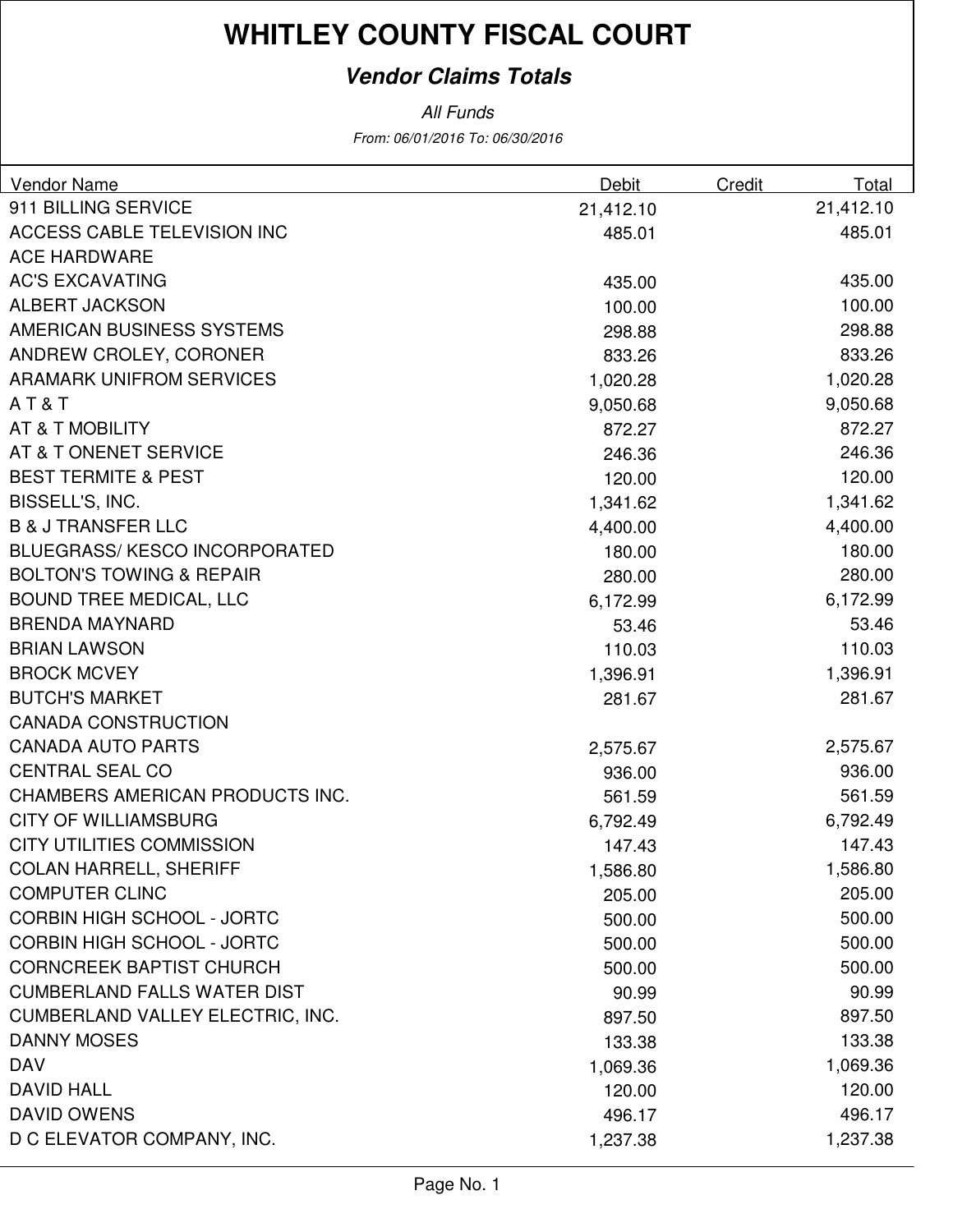### **Vendor Claims Totals**

| Vendor Name                         | Debit     | Credit | Total     |
|-------------------------------------|-----------|--------|-----------|
| 911 BILLING SERVICE                 | 21,412.10 |        | 21,412.10 |
| ACCESS CABLE TELEVISION INC         | 485.01    |        | 485.01    |
| <b>ACE HARDWARE</b>                 |           |        |           |
| <b>AC'S EXCAVATING</b>              | 435.00    |        | 435.00    |
| <b>ALBERT JACKSON</b>               | 100.00    |        | 100.00    |
| AMERICAN BUSINESS SYSTEMS           | 298.88    |        | 298.88    |
| ANDREW CROLEY, CORONER              | 833.26    |        | 833.26    |
| <b>ARAMARK UNIFROM SERVICES</b>     | 1,020.28  |        | 1,020.28  |
| AT&T                                | 9,050.68  |        | 9,050.68  |
| AT & T MOBILITY                     | 872.27    |        | 872.27    |
| AT & T ONENET SERVICE               | 246.36    |        | 246.36    |
| <b>BEST TERMITE &amp; PEST</b>      | 120.00    |        | 120.00    |
| BISSELL'S, INC.                     | 1,341.62  |        | 1,341.62  |
| <b>B &amp; J TRANSFER LLC</b>       | 4,400.00  |        | 4,400.00  |
| <b>BLUEGRASS/KESCO INCORPORATED</b> | 180.00    |        | 180.00    |
| <b>BOLTON'S TOWING &amp; REPAIR</b> | 280.00    |        | 280.00    |
| <b>BOUND TREE MEDICAL, LLC</b>      | 6,172.99  |        | 6,172.99  |
| <b>BRENDA MAYNARD</b>               | 53.46     |        | 53.46     |
| <b>BRIAN LAWSON</b>                 | 110.03    |        | 110.03    |
| <b>BROCK MCVEY</b>                  | 1,396.91  |        | 1,396.91  |
| <b>BUTCH'S MARKET</b>               | 281.67    |        | 281.67    |
| <b>CANADA CONSTRUCTION</b>          |           |        |           |
| <b>CANADA AUTO PARTS</b>            | 2,575.67  |        | 2,575.67  |
| <b>CENTRAL SEAL CO</b>              | 936.00    |        | 936.00    |
| CHAMBERS AMERICAN PRODUCTS INC.     | 561.59    |        | 561.59    |
| <b>CITY OF WILLIAMSBURG</b>         | 6,792.49  |        | 6,792.49  |
| <b>CITY UTILITIES COMMISSION</b>    | 147.43    |        | 147.43    |
| <b>COLAN HARRELL, SHERIFF</b>       | 1,586.80  |        | 1,586.80  |
| <b>COMPUTER CLINC</b>               | 205.00    |        | 205.00    |
| <b>CORBIN HIGH SCHOOL - JORTC</b>   | 500.00    |        | 500.00    |
| <b>CORBIN HIGH SCHOOL - JORTC</b>   | 500.00    |        | 500.00    |
| <b>CORNCREEK BAPTIST CHURCH</b>     | 500.00    |        | 500.00    |
| <b>CUMBERLAND FALLS WATER DIST</b>  | 90.99     |        | 90.99     |
| CUMBERLAND VALLEY ELECTRIC, INC.    | 897.50    |        | 897.50    |
| <b>DANNY MOSES</b>                  | 133.38    |        | 133.38    |
| <b>DAV</b>                          | 1,069.36  |        | 1,069.36  |
| <b>DAVID HALL</b>                   | 120.00    |        | 120.00    |
| <b>DAVID OWENS</b>                  | 496.17    |        | 496.17    |
| D C ELEVATOR COMPANY, INC.          | 1,237.38  |        | 1,237.38  |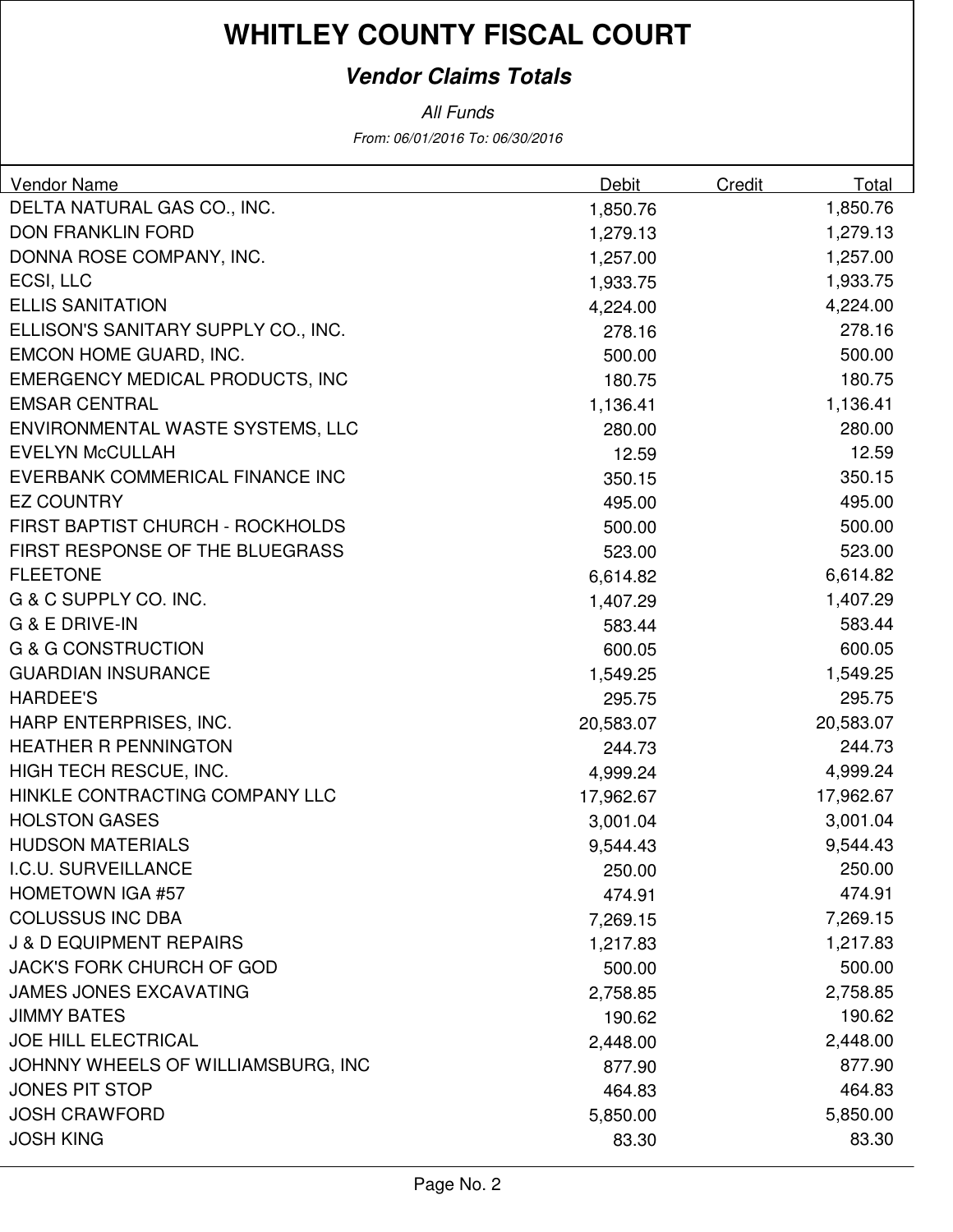### **Vendor Claims Totals**

| <b>Vendor Name</b>                     | Debit     | Credit | Total     |
|----------------------------------------|-----------|--------|-----------|
| DELTA NATURAL GAS CO., INC.            | 1,850.76  |        | 1,850.76  |
| <b>DON FRANKLIN FORD</b>               | 1,279.13  |        | 1,279.13  |
| DONNA ROSE COMPANY, INC.               | 1,257.00  |        | 1,257.00  |
| ECSI, LLC                              | 1,933.75  |        | 1,933.75  |
| <b>ELLIS SANITATION</b>                | 4,224.00  |        | 4,224.00  |
| ELLISON'S SANITARY SUPPLY CO., INC.    | 278.16    |        | 278.16    |
| EMCON HOME GUARD, INC.                 | 500.00    |        | 500.00    |
| <b>EMERGENCY MEDICAL PRODUCTS, INC</b> | 180.75    |        | 180.75    |
| <b>EMSAR CENTRAL</b>                   | 1,136.41  |        | 1,136.41  |
| ENVIRONMENTAL WASTE SYSTEMS, LLC       | 280.00    |        | 280.00    |
| <b>EVELYN McCULLAH</b>                 | 12.59     |        | 12.59     |
| EVERBANK COMMERICAL FINANCE INC        | 350.15    |        | 350.15    |
| <b>EZ COUNTRY</b>                      | 495.00    |        | 495.00    |
| FIRST BAPTIST CHURCH - ROCKHOLDS       | 500.00    |        | 500.00    |
| FIRST RESPONSE OF THE BLUEGRASS        | 523.00    |        | 523.00    |
| <b>FLEETONE</b>                        | 6,614.82  |        | 6,614.82  |
| G & C SUPPLY CO. INC.                  | 1,407.29  |        | 1,407.29  |
| <b>G &amp; E DRIVE-IN</b>              | 583.44    |        | 583.44    |
| <b>G &amp; G CONSTRUCTION</b>          | 600.05    |        | 600.05    |
| <b>GUARDIAN INSURANCE</b>              | 1,549.25  |        | 1,549.25  |
| <b>HARDEE'S</b>                        | 295.75    |        | 295.75    |
| HARP ENTERPRISES, INC.                 | 20,583.07 |        | 20,583.07 |
| <b>HEATHER R PENNINGTON</b>            | 244.73    |        | 244.73    |
| HIGH TECH RESCUE, INC.                 | 4,999.24  |        | 4,999.24  |
| HINKLE CONTRACTING COMPANY LLC         | 17,962.67 |        | 17,962.67 |
| <b>HOLSTON GASES</b>                   | 3,001.04  |        | 3,001.04  |
| <b>HUDSON MATERIALS</b>                | 9,544.43  |        | 9,544.43  |
| I.C.U. SURVEILLANCE                    | 250.00    |        | 250.00    |
| <b>HOMETOWN IGA #57</b>                | 474.91    |        | 474.91    |
| <b>COLUSSUS INC DBA</b>                | 7,269.15  |        | 7,269.15  |
| <b>J &amp; D EQUIPMENT REPAIRS</b>     | 1,217.83  |        | 1,217.83  |
| <b>JACK'S FORK CHURCH OF GOD</b>       | 500.00    |        | 500.00    |
| <b>JAMES JONES EXCAVATING</b>          | 2,758.85  |        | 2,758.85  |
| <b>JIMMY BATES</b>                     | 190.62    |        | 190.62    |
| <b>JOE HILL ELECTRICAL</b>             | 2,448.00  |        | 2,448.00  |
| JOHNNY WHEELS OF WILLIAMSBURG, INC     | 877.90    |        | 877.90    |
| <b>JONES PIT STOP</b>                  | 464.83    |        | 464.83    |
| <b>JOSH CRAWFORD</b>                   | 5,850.00  |        | 5,850.00  |
| <b>JOSH KING</b>                       | 83.30     |        | 83.30     |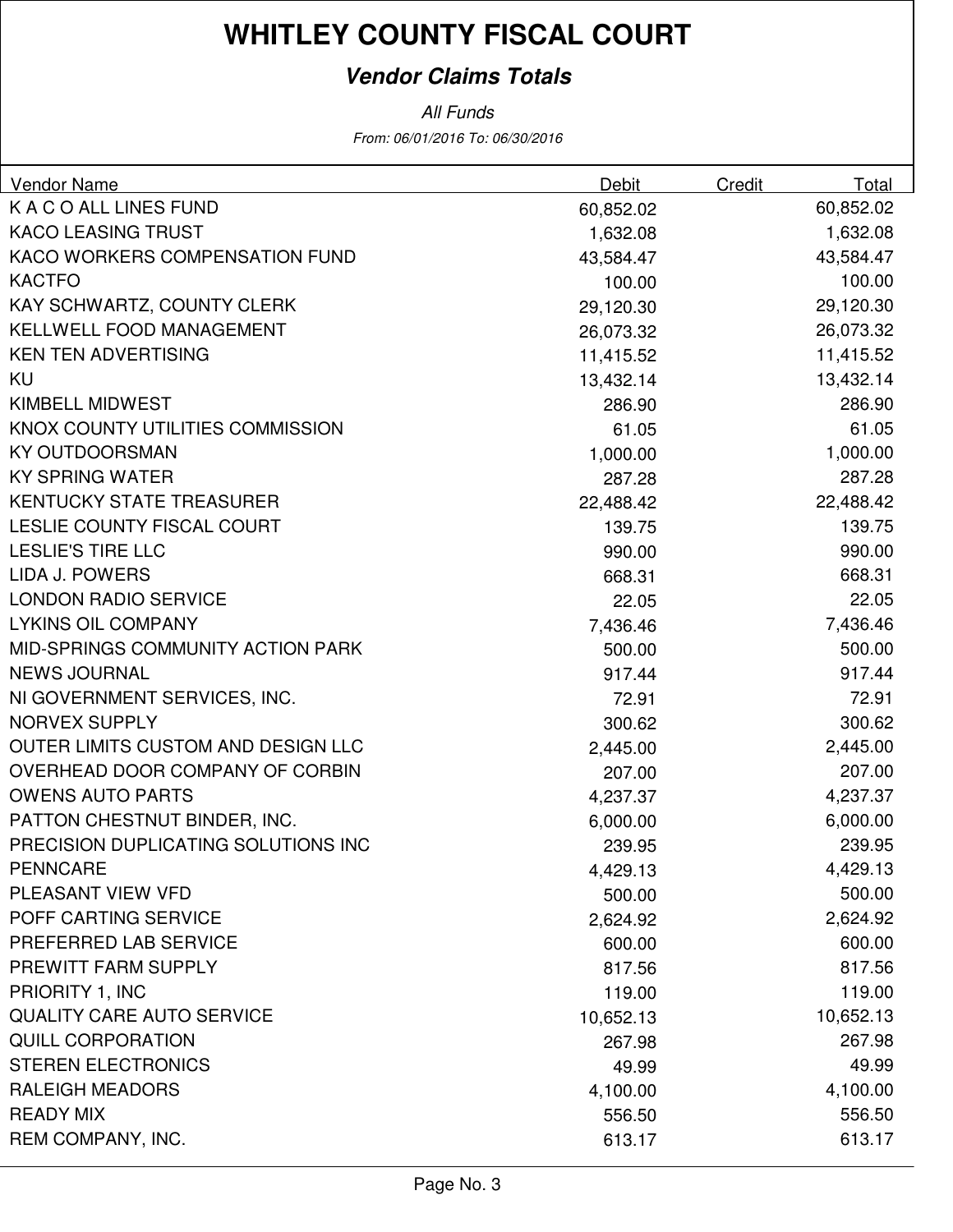### **Vendor Claims Totals**

| <b>Vendor Name</b>                  | Debit     | Credit | Total     |
|-------------------------------------|-----------|--------|-----------|
| K A C O ALL LINES FUND              | 60,852.02 |        | 60,852.02 |
| <b>KACO LEASING TRUST</b>           | 1,632.08  |        | 1,632.08  |
| KACO WORKERS COMPENSATION FUND      | 43,584.47 |        | 43,584.47 |
| <b>KACTFO</b>                       | 100.00    |        | 100.00    |
| KAY SCHWARTZ, COUNTY CLERK          | 29,120.30 |        | 29,120.30 |
| KELLWELL FOOD MANAGEMENT            | 26,073.32 |        | 26,073.32 |
| <b>KEN TEN ADVERTISING</b>          | 11,415.52 |        | 11,415.52 |
| KU                                  | 13,432.14 |        | 13,432.14 |
| <b>KIMBELL MIDWEST</b>              | 286.90    |        | 286.90    |
| KNOX COUNTY UTILITIES COMMISSION    | 61.05     |        | 61.05     |
| <b>KY OUTDOORSMAN</b>               | 1,000.00  |        | 1,000.00  |
| <b>KY SPRING WATER</b>              | 287.28    |        | 287.28    |
| <b>KENTUCKY STATE TREASURER</b>     | 22,488.42 |        | 22,488.42 |
| <b>LESLIE COUNTY FISCAL COURT</b>   | 139.75    |        | 139.75    |
| <b>LESLIE'S TIRE LLC</b>            | 990.00    |        | 990.00    |
| <b>LIDA J. POWERS</b>               | 668.31    |        | 668.31    |
| <b>LONDON RADIO SERVICE</b>         | 22.05     |        | 22.05     |
| <b>LYKINS OIL COMPANY</b>           | 7,436.46  |        | 7,436.46  |
| MID-SPRINGS COMMUNITY ACTION PARK   | 500.00    |        | 500.00    |
| <b>NEWS JOURNAL</b>                 | 917.44    |        | 917.44    |
| NI GOVERNMENT SERVICES, INC.        | 72.91     |        | 72.91     |
| <b>NORVEX SUPPLY</b>                | 300.62    |        | 300.62    |
| OUTER LIMITS CUSTOM AND DESIGN LLC  | 2,445.00  |        | 2,445.00  |
| OVERHEAD DOOR COMPANY OF CORBIN     | 207.00    |        | 207.00    |
| <b>OWENS AUTO PARTS</b>             | 4,237.37  |        | 4,237.37  |
| PATTON CHESTNUT BINDER, INC.        | 6,000.00  |        | 6,000.00  |
| PRECISION DUPLICATING SOLUTIONS INC | 239.95    |        | 239.95    |
| <b>PENNCARE</b>                     | 4,429.13  |        | 4,429.13  |
| <b>PLEASANT VIEW VFD</b>            | 500.00    |        | 500.00    |
| POFF CARTING SERVICE                | 2,624.92  |        | 2,624.92  |
| PREFERRED LAB SERVICE               | 600.00    |        | 600.00    |
| PREWITT FARM SUPPLY                 | 817.56    |        | 817.56    |
| PRIORITY 1, INC                     | 119.00    |        | 119.00    |
| <b>QUALITY CARE AUTO SERVICE</b>    | 10,652.13 |        | 10,652.13 |
| <b>QUILL CORPORATION</b>            | 267.98    |        | 267.98    |
| <b>STEREN ELECTRONICS</b>           | 49.99     |        | 49.99     |
| <b>RALEIGH MEADORS</b>              | 4,100.00  |        | 4,100.00  |
| <b>READY MIX</b>                    | 556.50    |        | 556.50    |
| REM COMPANY, INC.                   | 613.17    |        | 613.17    |